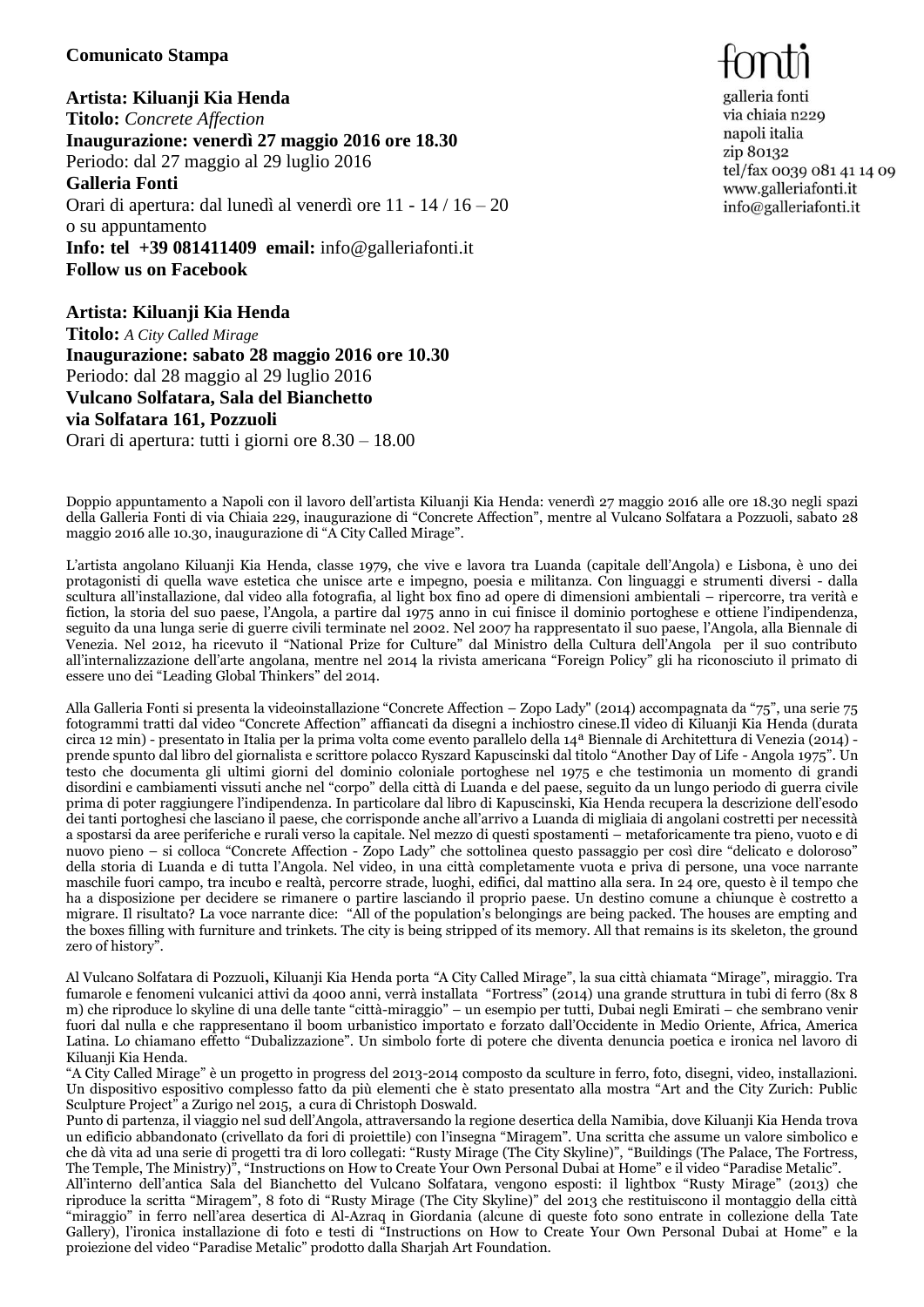## **Comunicato Stampa**

**Artista: Kiluanji Kia Henda Titolo:** *Concrete Affection* **Inaugurazione: venerdì 27 maggio 2016 ore 18.30** Periodo: dal 27 maggio al 29 luglio 2016 **Galleria Fonti** Orari di apertura: dal lunedì al venerdì ore 11 - 14 / 16 – 20 o su appuntamento **Info: tel +39 081411409 email:** [info@galleriafonti.it](mailto:info@galleriafonti.it) **Follow us on Facebook**

**Artista: Kiluanji Kia Henda Titolo:** *A City Called Mirage* **Inaugurazione: sabato 28 maggio 2016 ore 10.30** Periodo: dal 28 maggio al 29 luglio 2016 **Vulcano Solfatara, Sala del Bianchetto via Solfatara 161, Pozzuoli** Orari di apertura: tutti i giorni ore 8.30 – 18.00

galleria fonti via chiaia n229 napoli italia zip 80132 tel/fax 0039 081 41 14 09 www.galleriafonti.it info@galleriafonti.it

Doppio appuntamento a Napoli con il lavoro dell'artista Kiluanji Kia Henda: venerdì 27 maggio 2016 alle ore 18.30 negli spazi della Galleria Fonti di via Chiaia 229, inaugurazione di "Concrete Affection", mentre al Vulcano Solfatara a Pozzuoli, sabato 28 maggio 2016 alle 10.30, inaugurazione di "A City Called Mirage".

L'artista angolano Kiluanji Kia Henda, classe 1979, che vive e lavora tra Luanda (capitale dell'Angola) e Lisbona, è uno dei protagonisti di quella wave estetica che unisce arte e impegno, poesia e militanza. Con linguaggi e strumenti diversi - dalla scultura all'installazione, dal video alla fotografia, al light box fino ad opere di dimensioni ambientali – ripercorre, tra verità e fiction, la storia del suo paese, l'Angola, a partire dal 1975 anno in cui finisce il dominio portoghese e ottiene l'indipendenza, seguito da una lunga serie di guerre civili terminate nel 2002. Nel 2007 ha rappresentato il suo paese, l'Angola, alla Biennale di Venezia. Nel 2012, ha ricevuto il "National Prize for Culture" dal Ministro della Cultura dell'Angola per il suo contributo all'internalizzazione dell'arte angolana, mentre nel 2014 la rivista americana "Foreign Policy" gli ha riconosciuto il primato di essere uno dei "Leading Global Thinkers" del 2014.

Alla Galleria Fonti si presenta la videoinstallazione "Concrete Affection – Zopo Lady" (2014) accompagnata da "75", una serie 75 fotogrammi tratti dal video "Concrete Affection" affiancati da disegni a inchiostro cinese.Il video di Kiluanji Kia Henda (durata circa 12 min) - presentato in Italia per la prima volta come evento parallelo della 14ª Biennale di Architettura di Venezia (2014) prende spunto dal libro del giornalista e scrittore polacco Ryszard Kapuscinski dal titolo "Another Day of Life - Angola 1975". Un testo che documenta gli ultimi giorni del dominio coloniale portoghese nel 1975 e che testimonia un momento di grandi disordini e cambiamenti vissuti anche nel "corpo" della città di Luanda e del paese, seguito da un lungo periodo di guerra civile prima di poter raggiungere l'indipendenza. In particolare dal libro di Kapuscinski, Kia Henda recupera la descrizione dell'esodo dei tanti portoghesi che lasciano il paese, che corrisponde anche all'arrivo a Luanda di migliaia di angolani costretti per necessità a spostarsi da aree periferiche e rurali verso la capitale. Nel mezzo di questi spostamenti – metaforicamente tra pieno, vuoto e di nuovo pieno – si colloca "Concrete Affection - Zopo Lady" che sottolinea questo passaggio per così dire "delicato e doloroso" della storia di Luanda e di tutta l'Angola. Nel video, in una città completamente vuota e priva di persone, una voce narrante maschile fuori campo, tra incubo e realtà, percorre strade, luoghi, edifici, dal mattino alla sera. In 24 ore, questo è il tempo che ha a disposizione per decidere se rimanere o partire lasciando il proprio paese. Un destino comune a chiunque è costretto a migrare. Il risultato? La voce narrante dice: "All of the population's belongings are being packed. The houses are empting and the boxes filling with furniture and trinkets. The city is being stripped of its memory. All that remains is its skeleton, the ground zero of history".

Al Vulcano Solfatara di Pozzuoli**,** Kiluanji Kia Henda porta *"*A City Called Mirage", la sua città chiamata "Mirage", miraggio. Tra fumarole e fenomeni vulcanici attivi da 4000 anni, verrà installata "Fortress" (2014) una grande struttura in tubi di ferro (8x 8 m) che riproduce lo skyline di una delle tante "città-miraggio" – un esempio per tutti, Dubai negli Emirati – che sembrano venir fuori dal nulla e che rappresentano il boom urbanistico importato e forzato dall'Occidente in Medio Oriente, Africa, America Latina. Lo chiamano effetto "Dubalizzazione". Un simbolo forte di potere che diventa denuncia poetica e ironica nel lavoro di Kiluanji Kia Henda.

"A City Called Mirage" è un progetto in progress del 2013-2014 composto da sculture in ferro, foto, disegni, video, installazioni. Un dispositivo espositivo complesso fatto da più elementi che è stato presentato alla mostra "Art and the City Zurich: Public Sculpture Project" a Zurigo nel 2015, a cura di Christoph Doswald.

Punto di partenza, il viaggio nel sud dell'Angola, attraversando la regione desertica della Namibia, dove Kiluanji Kia Henda trova un edificio abbandonato (crivellato da fori di proiettile) con l'insegna "Miragem". Una scritta che assume un valore simbolico e che dà vita ad una serie di progetti tra di loro collegati: "Rusty Mirage (The City Skyline)", "Buildings (The Palace, The Fortress, The Temple, The Ministry)", "Instructions on How to Create Your Own Personal Dubai at Home" e il video "Paradise Metalic".

All'interno dell'antica Sala del Bianchetto del Vulcano Solfatara, vengono esposti: il lightbox "Rusty Mirage" (2013) che riproduce la scritta "Miragem", 8 foto di "Rusty Mirage (The City Skyline)" del 2013 che restituiscono il montaggio della città "miraggio" in ferro nell'area desertica di Al-Azraq in Giordania (alcune di queste foto sono entrate in collezione della Tate Gallery), l'ironica installazione di foto e testi di "Instructions on How to Create Your Own Personal Dubai at Home" e la proiezione del video "Paradise Metalic" prodotto dalla Sharjah Art Foundation.